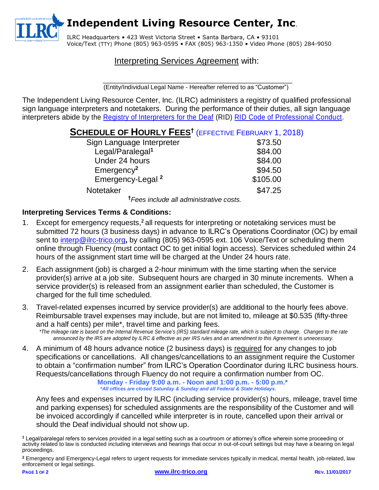**Independent Living Resource Center, Inc**.

ILRC Headquarters • 423 West Victoria Street • Santa Barbara, CA • 93101 Voice/Text (TTY) Phone (805) 963-0595 • FAX (805) 963-1350 • Video Phone (805) 284-9050

## Interpreting Services Agreement with:

\_\_\_\_\_\_\_\_\_\_\_\_\_\_\_\_\_\_\_\_\_\_\_\_\_\_\_\_\_\_\_\_\_\_\_\_\_\_\_\_\_\_\_\_\_\_\_\_\_\_ (Entity/Individual Legal Name - Hereafter referred to as "Customer")

The Independent Living Resource Center, Inc. (ILRC) administers a registry of qualified professional sign language interpreters and notetakers. During the performance of their duties, all sign language interpreters abide by the [Registry of Interpreters for the Deaf](http://www.rid.org/) (RID) [RID Code of Professional Conduct.](http://www.rid.org/ethics/code/index.cfm)

# **SCHEDULE OF HOURLY FEES†** (EFFECTIVE FEBRUARY 1, 2018)

| Sign Language Interpreter    | \$73.50  |
|------------------------------|----------|
| Legal/Paralegal <sup>1</sup> | \$84.00  |
| Under 24 hours               | \$84.00  |
| $E$ mergency <sup>2</sup>    | \$94.50  |
| Emergency-Legal <sup>2</sup> | \$105.00 |
| Notetaker                    | \$47.25  |
|                              |          |

**†***Fees include all administrative costs.*

### **Interpreting Services Terms & Conditions:**

- 1. Except for emergency requests,**<sup>2</sup>** all requests for interpreting or notetaking services must be submitted 72 hours (3 business days) in advance to ILRC's Operations Coordinator (OC) by email sent to [interp@ilrc-trico.org](mailto:Interpreter%20Registry%20Coordinator%20%3Cinterp%40ilrc-trico.org%3E?subject=Submittal%20Interpreter%20Services%20Agreement)**,** by calling (805) 963-0595 ext. 106 Voice/Text or scheduling them online through Fluency (must contact OC to get initial login access). Services scheduled within 24 hours of the assignment start time will be charged at the Under 24 hours rate.
- 2. Each assignment (job) is charged a 2-hour minimum with the time starting when the service provider(s) arrive at a job site. Subsequent hours are charged in 30 minute increments. When a service provider(s) is released from an assignment earlier than scheduled, the Customer is charged for the full time scheduled.
- 3. Travel-related expenses incurred by service provider(s) are additional to the hourly fees above. Reimbursable travel expenses may include, but are not limited to, mileage at \$0.535 (fifty-three and a half cents) per mile\*, travel time and parking fees. *\*The mileage rate is based on the Internal Revenue Service's (IRS) standard mileage rate, which is subject to change. Changes to the rate announced by the IRS are adopted by ILRC & effective as per IRS rules and an amendment to this Agreement is unnecessary.*
- 4. A minimum of 48 hours advance notice (2 business days) is required for any changes to job specifications or cancellations. All changes/cancellations to an assignment require the Customer to obtain a "confirmation number" from ILRC's Operation Coordinator during ILRC business hours. Requests/cancellations through Fluency do not require a confirmation number from OC.

**Monday - Friday 9:00 a.m. - Noon and 1:00 p.m. - 5:00 p.m.\***  *\*All offices are closed Saturday & Sunday and all Federal & State Holidays.* 

Any fees and expenses incurred by ILRC (including service provider(s) hours, mileage, travel time and parking expenses) for scheduled assignments are the responsibility of the Customer and will be invoiced accordingly if cancelled while interpreter is in route, cancelled upon their arrival or should the Deaf individual should not show up.

**<sup>1</sup>** Legal/paralegal refers to services provided in a legal setting such as a courtroom or attorney's office wherein some proceeding or activity related to law is conducted including interviews and hearings that occur in out-of-court settings but may have a bearing on legal proceedings.

**2** Emergency and Emergency-Legal refers to urgent requests for immediate services typically in medical, mental health, job-related, law enforcement or legal settings.